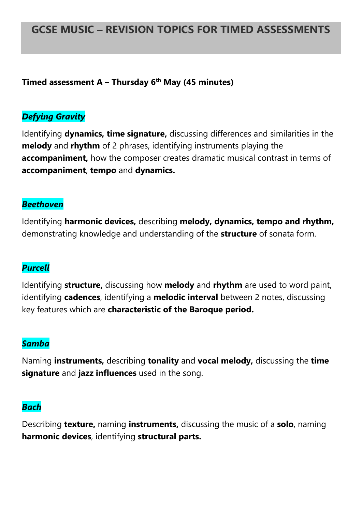# **GCSE MUSIC – REVISION TOPICS FOR TIMED ASSESSMENTS**

### **Timed assessment A – Thursday 6 th May (45 minutes)**

## *Defying Gravity*

Identifying **dynamics, time signature,** discussing differences and similarities in the **melody** and **rhythm** of 2 phrases, identifying instruments playing the **accompaniment,** how the composer creates dramatic musical contrast in terms of **accompaniment**, **tempo** and **dynamics.**

#### *Beethoven*

Identifying **harmonic devices,** describing **melody, dynamics, tempo and rhythm,**  demonstrating knowledge and understanding of the **structure** of sonata form.

# *Purcell*

Identifying **structure,** discussing how **melody** and **rhythm** are used to word paint, identifying **cadences**, identifying a **melodic interval** between 2 notes, discussing key features which are **characteristic of the Baroque period.**

#### *Samba*

Naming **instruments,** describing **tonality** and **vocal melody,** discussing the **time signature** and **jazz influences** used in the song.

#### *Bach*

Describing **texture,** naming **instruments,** discussing the music of a **solo**, naming **harmonic devices**, identifying **structural parts.**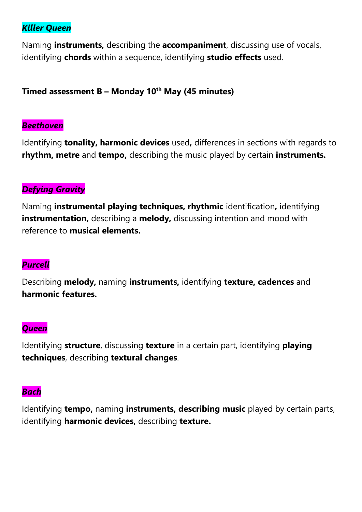# *Killer Queen*

Naming **instruments,** describing the **accompaniment**, discussing use of vocals, identifying **chords** within a sequence, identifying **studio effects** used.

# **Timed assessment B – Monday 10th May (45 minutes)**

#### *Beethoven*

Identifying **tonality, harmonic devices** used**,** differences in sections with regards to **rhythm, metre** and **tempo,** describing the music played by certain **instruments.**

# *Defying Gravity*

Naming **instrumental playing techniques, rhythmic** identification**,** identifying **instrumentation,** describing a **melody**, discussing intention and mood with reference to **musical elements.**

# *Purcell*

Describing **melody,** naming **instruments,** identifying **texture, cadences** and **harmonic features.**

#### *Queen*

Identifying **structure**, discussing **texture** in a certain part, identifying **playing techniques**, describing **textural changes**.

#### *Bach*

Identifying **tempo,** naming **instruments, describing music** played by certain parts, identifying **harmonic devices,** describing **texture.**